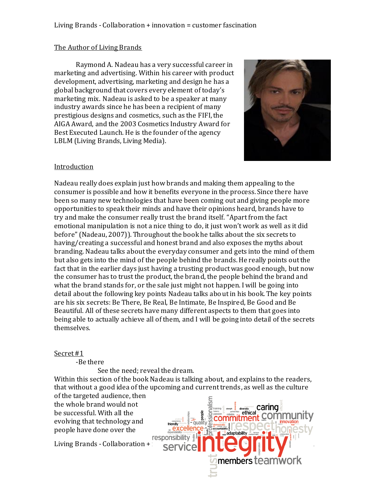## Living Brands - Collaboration + innovation = customer fascination

#### The Author of Living Brands

Raymond A. Nadeau has a very successful career in marketing and advertising. Within his career with product development, advertising, marketing and design he has a global background that covers every element of today's marketing mix. Nadeau is asked to be a speaker at many industry awards since he has been a recipient of many prestigious designs and cosmetics, such as the FIFI, the AIGA Award, and the 2003 Cosmetics Industry Award for Best Executed Launch. He is the founder of the agency LBLM (Living Brands, Living Media).



#### Introduction

Nadeau really does explain just how brands and making them appealing to the consumer is possible and how it benefits everyone in the process. Since there have been so many new technologies that have been coming out and giving people more opportunities to speak their minds and have their opinions heard, brands have to try and make the consumer really trust the brand itself. "Apart from the fact emotional manipulation is not a nice thing to do, it just won't work as well as it did before" (Nadeau, 2007)). Throughout the book he talks about the six secrets to having/creating a successful and honest brand and also exposes the myths about branding. Nadeau talks about the everyday consumer and gets into the mind of them but also gets into the mind of the people behind the brands. He really points out the fact that in the earlier days just having a trusting product was good enough, but now the consumer has to trust the product, the brand, the people behind the brand and what the brand stands for, or the sale just might not happen. I will be going into detail about the following key points Nadeau talks about in his book. The key points are his six secrets: Be There, Be Real, Be Intimate, Be Inspired, Be Good and Be Beautiful. All of these secrets have many different aspects to them that goes into being able to actually achieve all of them, and I will be going into detail of the secrets themselves.

#### Secret #1

-Be there

See the need; reveal the dream.

Within this section of the book Nadeau is talking about, and explains to the readers, that without a good idea of the upcoming and current trends, as well as the culture of the targeted audience, then

ی و<br>آسمانان م<br>آسمانان م

adaptability

members teamwork

the whole brand would not be successful. With all the evolving that technology and people have done over the

responsibili<br>Living Brands - Collaboration + innovation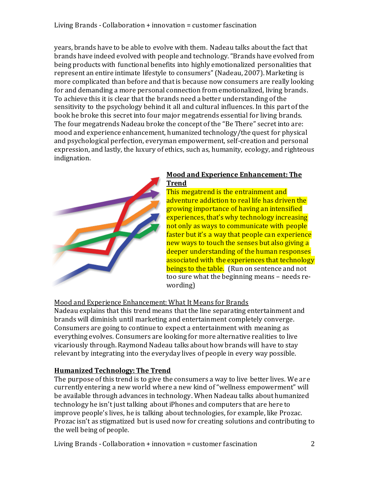# Living Brands - Collaboration + innovation = customer fascination

years, brands have to be able to evolve with them. Nadeau talks about the fact that brands have indeed evolved with people and technology. "Brands have evolved from being products with functional benefits into highly emotionalized personalities that represent an entire intimate lifestyle to consumers" (Nadeau, 2007). Marketing is more complicated than before and that is because now consumers are really looking for and demanding a more personal connection from emotionalized, living brands. To achieve this it is clear that the brands need a better understanding of the sensitivity to the psychology behind it all and cultural influences. In this part of the book he broke this secret into four major megatrends essential for living brands. The four megatrends Nadeau broke the concept of the "Be There" secret into are: mood and experience enhancement, humanized technology/the quest for physical and psychological perfection, everyman empowerment, self-creation and personal expression, and lastly, the luxury of ethics, such as, humanity, ecology, and righteous indignation.



## **Mood and Experience Enhancement: The Trend**

This megatrend is the entrainment and adventure addiction to real life has driven the growing importance of having an intensified experiences, that's why technology increasing not only as ways to communicate with people faster but it's a way that people can experience new ways to touch the senses but also giving a deeper understanding of the human responses associated with the experiences that technology beings to the table. (Run on sentence and not too sure what the beginning means – needs rewording)

### Mood and Experience Enhancement: What It Means for Brands

Nadeau explains that this trend means that the line separating entertainment and brands will diminish until marketing and entertainment completely converge. Consumers are going to continue to expect a entertainment with meaning as everything evolves. Consumers are looking for more alternative realities to live vicariously through. Raymond Nadeau talks about how brands will have to stay relevant by integrating into the everyday lives of people in every way possible.

# **Humanized Technology: The Trend**

The purpose of this trend is to give the consumers a way to live better lives. We ar e currently entering a new world where a new kind of "wellness empowerment" will be available through advances in technology. When Nadeau talks about humanized technology he isn't just talking about iPhones and computers that are here to improve people's lives, he is talking about technologies, for example, like Prozac. Prozac isn't as stigmatized but is used now for creating solutions and contributing to the well being of people.

Living Brands - Collaboration + innovation = customer fascination 2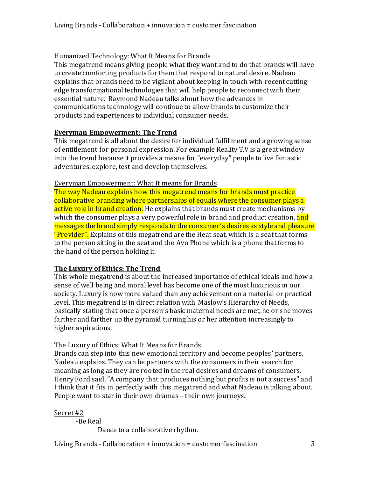# Humanized Technology: What It Means for Brands

This megatrend means giving people what they want and to do that brands will have to create comforting products for them that respond to natural desire. Nadeau explains that brands need to be vigilant about keeping in touch with recent cutting edge transformational technologies that will help people to reconnect with their essential nature. Raymond Nadeau talks about how the advances in communications technology will continue to allow brands to customize their products and experiences to individual consumer needs.

### **Everyman Empowerment: The Trend**

This megatrend is all about the desire for individual fulfillment and a growing sense of entitlement for personal expression. For example Reality T.V is a great window into the trend because it provides a means for "everyday" people to live fantastic adventures, explore, test and develop themselves.

## Everyman Empowerment: What It means for Brands

The way Nadeau explains how this megatrend means for brands must practice collaborative branding where partnerships of equals where the consumer plays a active role in brand creation. He explains that brands must create mechanisms by which the consumer plays a very powerful role in brand and product creation, and messages the brand simply responds to the consumer's desires as style and pleasure "Provider". Explains of this megatrend are the Heat seat, which is a seat that forms to the person sitting in the seat and the Avo Phone which is a phone that forms to the hand of the person holding it.

# **The Luxury of Ethics: The Trend**

This whole megatrend is about the increased importance of ethical ideals and how a sense of well being and moral level has become one of the most luxurious in our society. Luxury is now more valued than any achievement on a material or practical level. This megatrend is in direct relation with Maslow's Hierarchy of Needs, basically stating that once a person's basic maternal needs are met, he or she moves farther and farther up the pyramid turning his or her attention increasingly to higher aspirations.

# The Luxury of Ethics: What It Means for Brands

Brands can step into this new emotional territory and become peoples' partners, Nadeau explains. They can be partners with the consumers in their search for meaning as long as they are rooted in the real desires and dreams of consumers. Henry Ford said,"A company that produces nothing but profits is not a success" and I think that it fits in perfectly with this megatrend and what Nadeau is talking about. People want to star in their own dramas – their own journeys.

### Secret #2

-Be Real

Dance to a collaborative rhythm.

Living Brands - Collaboration + innovation = customer fascination 3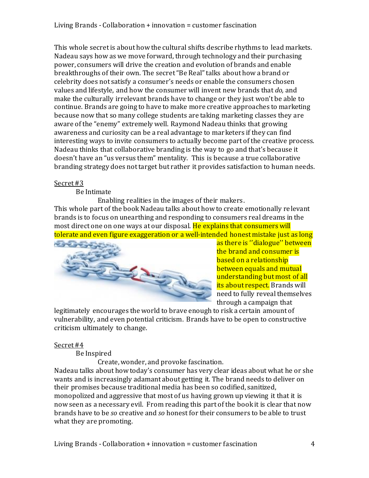This whole secret is about how the cultural shifts describe rhythms to lead markets. Nadeau says how as we move forward, through technology and their purchasing power, consumers will drive the creation and evolution of brands and enable breakthroughs of their own. The secret "Be Real" talks about how a brand or celebrity does not satisfy a consumer's needs or enable the consumers chosen values and lifestyle, and how the consumer will invent new brands that *do,* and make the culturally irrelevant brands have to change or they just won't be able to continue. Brands are going to have to make more creative approaches to marketing because now that so many college students are taking marketing classes they are aware of the "enemy" extremely well. Raymond Nadeau thinks that growing awareness and curiosity can be a real advantage to marketers if they can find interesting ways to invite consumers to actually become part of the creative process. Nadeau thinks that collaborative branding is the way to go and that's because it doesn't have an "us versus them" mentality. This is because a true collaborative branding strategy does not target but rather it provides satisfaction to human needs.

### Secret #3

Be Intimate

Enabling realities in the images of their makers. This whole part of the book Nadeau talks about how to create emotionally relevant brands is to focus on unearthing and responding to consumers real dreams in the most direct one on one ways at our disposal. He explains that consumers will tolerate and even figure exaggeration or a well-intended honest mistake just as long



as there is ''dialogue'' between the brand and consumer is based on a relationship between equals and mutual understanding but most of all its about respect. Brands will need to fully reveal themselves through a campaign that

legitimately encourages the world to brave enough to risk a certain amount of vulnerability, and even potential criticism. Brands have to be open to constructive criticism ultimately to change.

### Secret #4

Be Inspired

Create, wonder, and provoke fascination.

Nadeau talks about how today's consumer has very clear ideas about what he or she wants and is increasingly adamant about getting it. The brand needs to deliver on their promises because traditional media has been so codified, sanitized, monopolized and aggressive that most of us having grown up viewing it that it is now seen as a necessary evil. From reading this part of the book it is clear that now brands have to be *so* creative and *so* honest for their consumers to be able to trust what they are promoting.